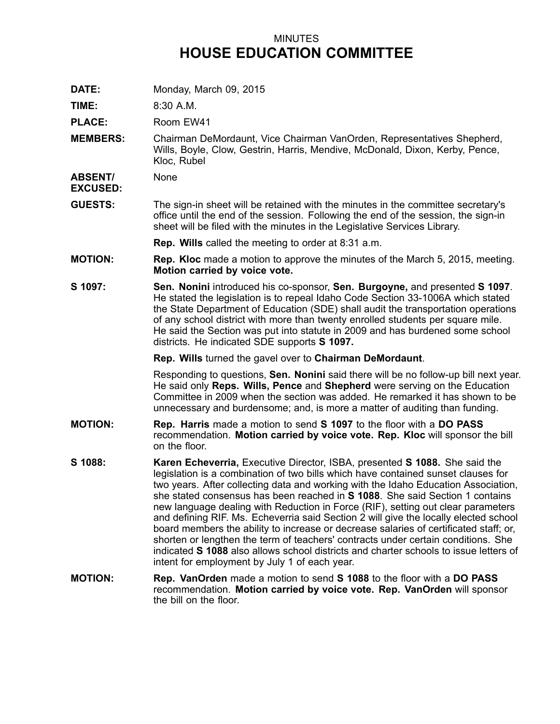## MINUTES **HOUSE EDUCATION COMMITTEE**

**DATE:** Monday, March 09, 2015

**TIME:** 8:30 A.M.

PLACE: Room EW41

**MEMBERS:** Chairman DeMordaunt, Vice Chairman VanOrden, Representatives Shepherd, Wills, Boyle, Clow, Gestrin, Harris, Mendive, McDonald, Dixon, Kerby, Pence, Kloc, Rubel

**ABSENT/ EXCUSED:** None

**GUESTS:** The sign-in sheet will be retained with the minutes in the committee secretary's office until the end of the session. Following the end of the session, the sign-in sheet will be filed with the minutes in the Legislative Services Library.

**Rep. Wills** called the meeting to order at 8:31 a.m.

- **MOTION: Rep. Kloc** made <sup>a</sup> motion to approve the minutes of the March 5, 2015, meeting. **Motion carried by voice vote.**
- **S 1097: Sen. Nonini** introduced his co-sponsor, **Sen. Burgoyne,** and presented **S 1097**. He stated the legislation is to repeal Idaho Code Section 33-1006A which stated the State Department of Education (SDE) shall audit the transportation operations of any school district with more than twenty enrolled students per square mile. He said the Section was put into statute in 2009 and has burdened some school districts. He indicated SDE supports **S 1097.**

**Rep. Wills** turned the gavel over to **Chairman DeMordaunt**.

Responding to questions, **Sen. Nonini** said there will be no follow-up bill next year. He said only **Reps. Wills, Pence** and **Shepherd** were serving on the Education Committee in 2009 when the section was added. He remarked it has shown to be unnecessary and burdensome; and, is more <sup>a</sup> matter of auditing than funding.

- **MOTION: Rep. Harris** made <sup>a</sup> motion to send **S 1097** to the floor with <sup>a</sup> **DO PASS** recommendation. **Motion carried by voice vote. Rep. Kloc** will sponsor the bill on the floor.
- **S 1088: Karen Echeverria,** Executive Director, ISBA, presented **S 1088.** She said the legislation is <sup>a</sup> combination of two bills which have contained sunset clauses for two years. After collecting data and working with the Idaho Education Association, she stated consensus has been reached in **S 1088**. She said Section 1 contains new language dealing with Reduction in Force (RIF), setting out clear parameters and defining RIF. Ms. Echeverria said Section 2 will give the locally elected school board members the ability to increase or decrease salaries of certificated staff; or, shorten or lengthen the term of teachers' contracts under certain conditions. She indicated **S 1088** also allows school districts and charter schools to issue letters of intent for employment by July 1 of each year.
- **MOTION: Rep. VanOrden** made <sup>a</sup> motion to send **S 1088** to the floor with <sup>a</sup> **DO PASS** recommendation. **Motion carried by voice vote. Rep. VanOrden** will sponsor the bill on the floor.